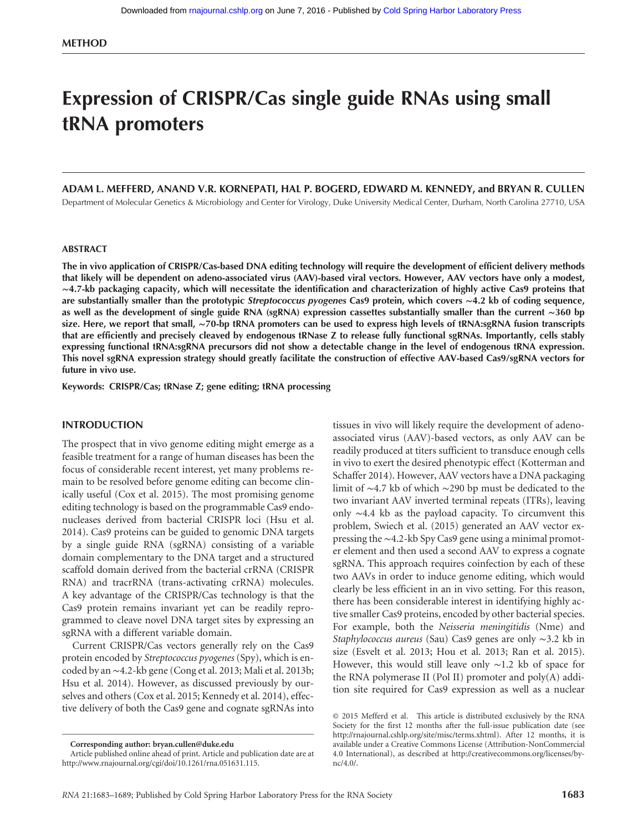# Expression of CRISPR/Cas single guide RNAs using small tRNA promoters

## ADAM L. MEFFERD, ANAND V.R. KORNEPATI, HAL P. BOGERD, EDWARD M. KENNEDY, and BRYAN R. CULLEN

Department of Molecular Genetics & Microbiology and Center for Virology, Duke University Medical Center, Durham, North Carolina 27710, USA

#### ABSTRACT

The in vivo application of CRISPR/Cas-based DNA editing technology will require the development of efficient delivery methods that likely will be dependent on adeno-associated virus (AAV)-based viral vectors. However, AAV vectors have only a modest, ∼4.7-kb packaging capacity, which will necessitate the identification and characterization of highly active Cas9 proteins that are substantially smaller than the prototypic Streptococcus pyogenes Cas9 protein, which covers ∼4.2 kb of coding sequence, as well as the development of single guide RNA (sgRNA) expression cassettes substantially smaller than the current ∼360 bp size. Here, we report that small, ∼70-bp tRNA promoters can be used to express high levels of tRNA:sgRNA fusion transcripts that are efficiently and precisely cleaved by endogenous tRNase Z to release fully functional sgRNAs. Importantly, cells stably expressing functional tRNA:sgRNA precursors did not show a detectable change in the level of endogenous tRNA expression. This novel sgRNA expression strategy should greatly facilitate the construction of effective AAV-based Cas9/sgRNA vectors for future in vivo use.

Keywords: CRISPR/Cas; tRNase Z; gene editing; tRNA processing

#### INTRODUCTION

The prospect that in vivo genome editing might emerge as a feasible treatment for a range of human diseases has been the focus of considerable recent interest, yet many problems remain to be resolved before genome editing can become clinically useful (Cox et al. 2015). The most promising genome editing technology is based on the programmable Cas9 endonucleases derived from bacterial CRISPR loci (Hsu et al. 2014). Cas9 proteins can be guided to genomic DNA targets by a single guide RNA (sgRNA) consisting of a variable domain complementary to the DNA target and a structured scaffold domain derived from the bacterial crRNA (CRISPR RNA) and tracrRNA (trans-activating crRNA) molecules. A key advantage of the CRISPR/Cas technology is that the Cas9 protein remains invariant yet can be readily reprogrammed to cleave novel DNA target sites by expressing an sgRNA with a different variable domain.

Current CRISPR/Cas vectors generally rely on the Cas9 protein encoded by Streptococcus pyogenes (Spy), which is encoded by an ∼4.2-kb gene (Cong et al. 2013; Mali et al. 2013b; Hsu et al. 2014). However, as discussed previously by ourselves and others (Cox et al. 2015; Kennedy et al. 2014), effective delivery of both the Cas9 gene and cognate sgRNAs into

Corresponding author: [bryan.cullen@duke.edu](mailto:bryan.cullen@duke.edu)

tissues in vivo will likely require the development of adenoassociated virus (AAV)-based vectors, as only AAV can be readily produced at titers sufficient to transduce enough cells in vivo to exert the desired phenotypic effect (Kotterman and Schaffer 2014). However, AAV vectors have a DNA packaging limit of ∼4.7 kb of which ∼290 bp must be dedicated to the two invariant AAV inverted terminal repeats (ITRs), leaving only ∼4.4 kb as the payload capacity. To circumvent this problem, Swiech et al. (2015) generated an AAV vector expressing the ∼4.2-kb Spy Cas9 gene using a minimal promoter element and then used a second AAV to express a cognate sgRNA. This approach requires coinfection by each of these two AAVs in order to induce genome editing, which would clearly be less efficient in an in vivo setting. For this reason, there has been considerable interest in identifying highly active smaller Cas9 proteins, encoded by other bacterial species. For example, both the Neisseria meningitidis (Nme) and Staphylococcus aureus (Sau) Cas9 genes are only ∼3.2 kb in size (Esvelt et al. 2013; Hou et al. 2013; Ran et al. 2015). However, this would still leave only ∼1.2 kb of space for the RNA polymerase II (Pol II) promoter and poly(A) addition site required for Cas9 expression as well as a nuclear

Article published online ahead of print. Article and publication date are at <http://www.rnajournal.org/cgi/doi/10.1261/rna.051631.115>.

[<sup>© 2015</sup> Mefferd et al.](http://www.rnajournal.org/site/misc/terms.xhtml) This article is distributed exclusively by the RNA Society for the first 12 months after the full-issue publication date (see [http://rnajournal.cshlp.org/site/misc/terms.xhtml\)](http://rnajournal.cshlp.org/site/misc/terms.xhtml). After 12 months, it is available under a Creative Commons License (Attribution-NonCommercial 4.0 International), as described at [http://creativecommons.org/licenses/by](http://creativecommons.org/licenses/by-nc/4.0/)[nc/4.0/](http://creativecommons.org/licenses/by-nc/4.0/).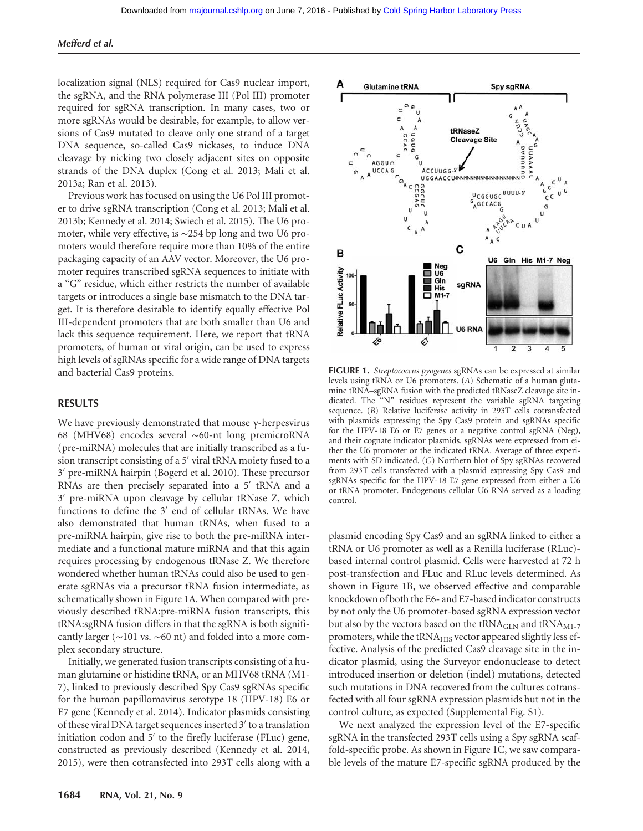#### Mefferd et al.

localization signal (NLS) required for Cas9 nuclear import, the sgRNA, and the RNA polymerase III (Pol III) promoter required for sgRNA transcription. In many cases, two or more sgRNAs would be desirable, for example, to allow versions of Cas9 mutated to cleave only one strand of a target DNA sequence, so-called Cas9 nickases, to induce DNA cleavage by nicking two closely adjacent sites on opposite strands of the DNA duplex (Cong et al. 2013; Mali et al. 2013a; Ran et al. 2013).

Previous work has focused on using the U6 Pol III promoter to drive sgRNA transcription (Cong et al. 2013; Mali et al. 2013b; Kennedy et al. 2014; Swiech et al. 2015). The U6 promoter, while very effective, is ∼254 bp long and two U6 promoters would therefore require more than 10% of the entire packaging capacity of an AAV vector. Moreover, the U6 promoter requires transcribed sgRNA sequences to initiate with a "G" residue, which either restricts the number of available targets or introduces a single base mismatch to the DNA target. It is therefore desirable to identify equally effective Pol III-dependent promoters that are both smaller than U6 and lack this sequence requirement. Here, we report that tRNA promoters, of human or viral origin, can be used to express high levels of sgRNAs specific for a wide range of DNA targets and bacterial Cas9 proteins.

#### RESULTS

We have previously demonstrated that mouse γ-herpesvirus 68 (MHV68) encodes several ∼60-nt long premicroRNA (pre-miRNA) molecules that are initially transcribed as a fusion transcript consisting of a 5′ viral tRNA moiety fused to a 3′ pre-miRNA hairpin (Bogerd et al. 2010). These precursor RNAs are then precisely separated into a 5′ tRNA and a 3′ pre-miRNA upon cleavage by cellular tRNase Z, which functions to define the 3′ end of cellular tRNAs. We have also demonstrated that human tRNAs, when fused to a pre-miRNA hairpin, give rise to both the pre-miRNA intermediate and a functional mature miRNA and that this again requires processing by endogenous tRNase Z. We therefore wondered whether human tRNAs could also be used to generate sgRNAs via a precursor tRNA fusion intermediate, as schematically shown in Figure 1A. When compared with previously described tRNA:pre-miRNA fusion transcripts, this tRNA:sgRNA fusion differs in that the sgRNA is both significantly larger (∼101 vs. ∼60 nt) and folded into a more complex secondary structure.

Initially, we generated fusion transcripts consisting of a human glutamine or histidine tRNA, or an MHV68 tRNA (M1- 7), linked to previously described Spy Cas9 sgRNAs specific for the human papillomavirus serotype 18 (HPV-18) E6 or E7 gene (Kennedy et al. 2014). Indicator plasmids consisting of these viral DNA target sequences inserted 3′ to a translation initiation codon and 5′ to the firefly luciferase (FLuc) gene, constructed as previously described (Kennedy et al. 2014, 2015), were then cotransfected into 293T cells along with a



FIGURE 1. Streptococcus pyogenes sgRNAs can be expressed at similar levels using tRNA or U6 promoters. (A) Schematic of a human glutamine tRNA–sgRNA fusion with the predicted tRNaseZ cleavage site indicated. The "N" residues represent the variable sgRNA targeting sequence. (B) Relative luciferase activity in 293T cells cotransfected with plasmids expressing the Spy Cas9 protein and sgRNAs specific for the HPV-18 E6 or E7 genes or a negative control sgRNA (Neg), and their cognate indicator plasmids. sgRNAs were expressed from either the U6 promoter or the indicated tRNA. Average of three experiments with SD indicated. (C) Northern blot of Spy sgRNAs recovered from 293T cells transfected with a plasmid expressing Spy Cas9 and sgRNAs specific for the HPV-18 E7 gene expressed from either a U6 or tRNA promoter. Endogenous cellular U6 RNA served as a loading control.

plasmid encoding Spy Cas9 and an sgRNA linked to either a tRNA or U6 promoter as well as a Renilla luciferase (RLuc) based internal control plasmid. Cells were harvested at 72 h post-transfection and FLuc and RLuc levels determined. As shown in Figure 1B, we observed effective and comparable knockdown of both the E6- and E7-based indicator constructs by not only the U6 promoter-based sgRNA expression vector but also by the vectors based on the  $tRNA<sub>GLN</sub>$  and  $tRNA<sub>M1-7</sub>$ promoters, while the  $tRNA_{HIS}$  vector appeared slightly less effective. Analysis of the predicted Cas9 cleavage site in the indicator plasmid, using the Surveyor endonuclease to detect introduced insertion or deletion (indel) mutations, detected such mutations in DNA recovered from the cultures cotransfected with all four sgRNA expression plasmids but not in the control culture, as expected (Supplemental Fig. S1).

We next analyzed the expression level of the E7-specific sgRNA in the transfected 293T cells using a Spy sgRNA scaffold-specific probe. As shown in Figure 1C, we saw comparable levels of the mature E7-specific sgRNA produced by the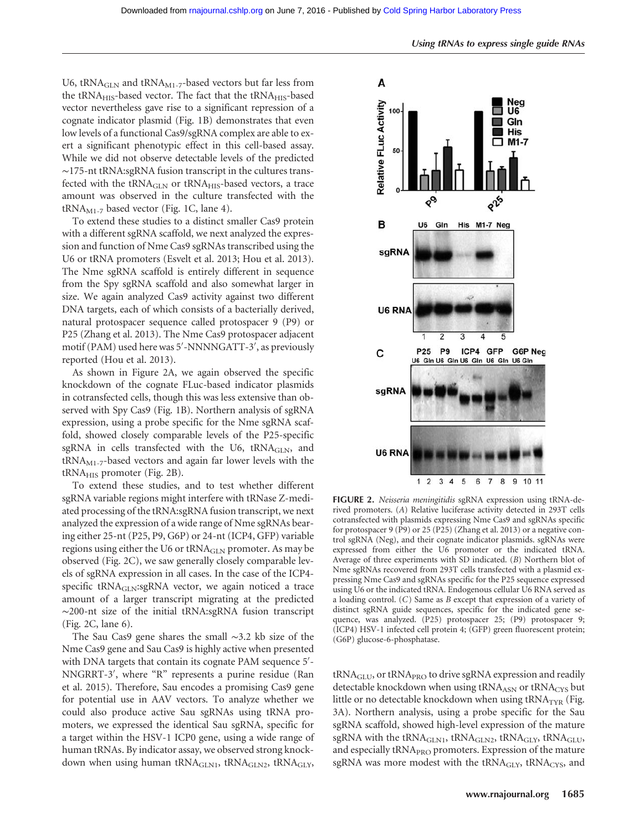U6, tRNA<sub>GLN</sub> and tRNA<sub>M1-7</sub>-based vectors but far less from the tRNA<sub>HIS</sub>-based vector. The fact that the tRNA<sub>HIS</sub>-based vector nevertheless gave rise to a significant repression of a cognate indicator plasmid (Fig. 1B) demonstrates that even low levels of a functional Cas9/sgRNA complex are able to exert a significant phenotypic effect in this cell-based assay. While we did not observe detectable levels of the predicted ∼175-nt tRNA:sgRNA fusion transcript in the cultures transfected with the tRNA<sub>GLN</sub> or tRNA<sub>HIS</sub>-based vectors, a trace amount was observed in the culture transfected with the  $tRNA<sub>M1-7</sub>$  based vector (Fig. 1C, lane 4).

To extend these studies to a distinct smaller Cas9 protein with a different sgRNA scaffold, we next analyzed the expression and function of Nme Cas9 sgRNAs transcribed using the U6 or tRNA promoters (Esvelt et al. 2013; Hou et al. 2013). The Nme sgRNA scaffold is entirely different in sequence from the Spy sgRNA scaffold and also somewhat larger in size. We again analyzed Cas9 activity against two different DNA targets, each of which consists of a bacterially derived, natural protospacer sequence called protospacer 9 (P9) or P25 (Zhang et al. 2013). The Nme Cas9 protospacer adjacent motif (PAM) used here was 5′ -NNNNGATT-3′ , as previously reported (Hou et al. 2013).

As shown in Figure 2A, we again observed the specific knockdown of the cognate FLuc-based indicator plasmids in cotransfected cells, though this was less extensive than observed with Spy Cas9 (Fig. 1B). Northern analysis of sgRNA expression, using a probe specific for the Nme sgRNA scaffold, showed closely comparable levels of the P25-specific sgRNA in cells transfected with the U6,  $tRNA<sub>GLN</sub>$ , and  $tRNA<sub>M1-7</sub>$ -based vectors and again far lower levels with the  $tRNA<sub>HIS</sub>$  promoter (Fig. 2B).

To extend these studies, and to test whether different sgRNA variable regions might interfere with tRNase Z-mediated processing of the tRNA:sgRNA fusion transcript, we next analyzed the expression of a wide range of Nme sgRNAs bearing either 25-nt (P25, P9, G6P) or 24-nt (ICP4, GFP) variable regions using either the U6 or tRNA<sub>GLN</sub> promoter. As may be observed (Fig. 2C), we saw generally closely comparable levels of sgRNA expression in all cases. In the case of the ICP4 specific  $tRNA<sub>GLN</sub>$ :sgRNA vector, we again noticed a trace amount of a larger transcript migrating at the predicted ∼200-nt size of the initial tRNA:sgRNA fusion transcript (Fig. 2C, lane 6).

The Sau Cas9 gene shares the small ∼3.2 kb size of the Nme Cas9 gene and Sau Cas9 is highly active when presented with DNA targets that contain its cognate PAM sequence 5'-NNGRRT-3′ , where "R" represents a purine residue (Ran et al. 2015). Therefore, Sau encodes a promising Cas9 gene for potential use in AAV vectors. To analyze whether we could also produce active Sau sgRNAs using tRNA promoters, we expressed the identical Sau sgRNA, specific for a target within the HSV-1 ICP0 gene, using a wide range of human tRNAs. By indicator assay, we observed strong knockdown when using human tRNA<sub>GLN1</sub>, tRNA<sub>GLN2</sub>, tRNA<sub>GLY</sub>,



FIGURE 2. Neisseria meningitidis sgRNA expression using tRNA-derived promoters. (A) Relative luciferase activity detected in 293T cells cotransfected with plasmids expressing Nme Cas9 and sgRNAs specific for protospacer 9 (P9) or 25 (P25) (Zhang et al. 2013) or a negative control sgRNA (Neg), and their cognate indicator plasmids. sgRNAs were expressed from either the U6 promoter or the indicated tRNA. Average of three experiments with SD indicated. (B) Northern blot of Nme sgRNAs recovered from 293T cells transfected with a plasmid expressing Nme Cas9 and sgRNAs specific for the P25 sequence expressed using U6 or the indicated tRNA. Endogenous cellular U6 RNA served as a loading control. (C) Same as B except that expression of a variety of distinct sgRNA guide sequences, specific for the indicated gene sequence, was analyzed. (P25) protospacer 25; (P9) protospacer 9; (ICP4) HSV-1 infected cell protein 4; (GFP) green fluorescent protein; (G6P) glucose-6-phosphatase.

tRNA<sub>GLU</sub>, or tRNA<sub>PRO</sub> to drive sgRNA expression and readily detectable knockdown when using tRNAASN or tRNACYS but little or no detectable knockdown when using  $tRNA_{TYR}$  (Fig. 3A). Northern analysis, using a probe specific for the Sau sgRNA scaffold, showed high-level expression of the mature sgRNA with the tRNA<sub>GLN1</sub>, tRNA<sub>GLN2</sub>, tRNA<sub>GLY</sub>, tRNA<sub>GLU</sub>, and especially tRNA<sub>PRO</sub> promoters. Expression of the mature sgRNA was more modest with the  $tRNA<sub>GLY</sub>$ ,  $tRNA<sub>CYS</sub>$ , and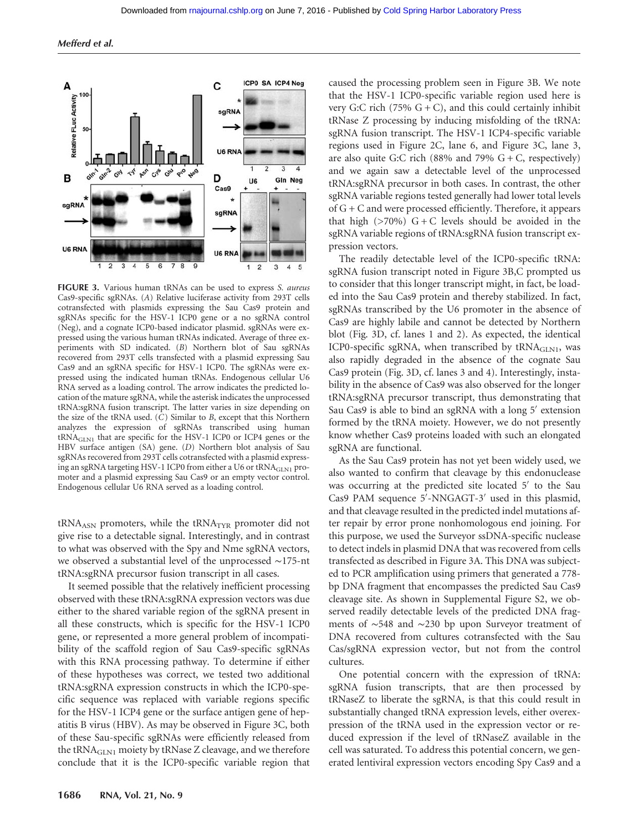

FIGURE 3. Various human tRNAs can be used to express S. aureus Cas9-specific sgRNAs. (A) Relative luciferase activity from 293T cells cotransfected with plasmids expressing the Sau Cas9 protein and sgRNAs specific for the HSV-1 ICP0 gene or a no sgRNA control (Neg), and a cognate ICP0-based indicator plasmid. sgRNAs were expressed using the various human tRNAs indicated. Average of three experiments with SD indicated. (B) Northern blot of Sau sgRNAs recovered from 293T cells transfected with a plasmid expressing Sau Cas9 and an sgRNA specific for HSV-1 ICP0. The sgRNAs were expressed using the indicated human tRNAs. Endogenous cellular U6 RNA served as a loading control. The arrow indicates the predicted location of the mature sgRNA, while the asterisk indicates the unprocessed tRNA:sgRNA fusion transcript. The latter varies in size depending on the size of the tRNA used.  $(C)$  Similar to B, except that this Northern analyzes the expression of sgRNAs transcribed using human  $tRNA<sub>GLM1</sub>$  that are specific for the HSV-1 ICP0 or ICP4 genes or the HBV surface antigen (SA) gene. (D) Northern blot analysis of Sau sgRNAs recovered from 293T cells cotransfected with a plasmid expressing an sgRNA targeting HSV-1 ICP0 from either a U6 or tRNA<sub>GLN1</sub> promoter and a plasmid expressing Sau Cas9 or an empty vector control. Endogenous cellular U6 RNA served as a loading control.

tRNA<sub>ASN</sub> promoters, while the tRNA<sub>TYR</sub> promoter did not give rise to a detectable signal. Interestingly, and in contrast to what was observed with the Spy and Nme sgRNA vectors, we observed a substantial level of the unprocessed ∼175-nt tRNA:sgRNA precursor fusion transcript in all cases.

It seemed possible that the relatively inefficient processing observed with these tRNA:sgRNA expression vectors was due either to the shared variable region of the sgRNA present in all these constructs, which is specific for the HSV-1 ICP0 gene, or represented a more general problem of incompatibility of the scaffold region of Sau Cas9-specific sgRNAs with this RNA processing pathway. To determine if either of these hypotheses was correct, we tested two additional tRNA:sgRNA expression constructs in which the ICP0-specific sequence was replaced with variable regions specific for the HSV-1 ICP4 gene or the surface antigen gene of hepatitis B virus (HBV). As may be observed in Figure 3C, both of these Sau-specific sgRNAs were efficiently released from the tRNA $_{\text{GLN1}}$  moiety by tRNase Z cleavage, and we therefore conclude that it is the ICP0-specific variable region that caused the processing problem seen in Figure 3B. We note that the HSV-1 ICP0-specific variable region used here is very G:C rich (75%  $G + C$ ), and this could certainly inhibit tRNase Z processing by inducing misfolding of the tRNA: sgRNA fusion transcript. The HSV-1 ICP4-specific variable regions used in Figure 2C, lane 6, and Figure 3C, lane 3, are also quite G:C rich (88% and 79%  $G + C$ , respectively) and we again saw a detectable level of the unprocessed tRNA:sgRNA precursor in both cases. In contrast, the other sgRNA variable regions tested generally had lower total levels of G + C and were processed efficiently. Therefore, it appears that high  $(270\%)$  G + C levels should be avoided in the sgRNA variable regions of tRNA:sgRNA fusion transcript expression vectors.

The readily detectable level of the ICP0-specific tRNA: sgRNA fusion transcript noted in Figure 3B,C prompted us to consider that this longer transcript might, in fact, be loaded into the Sau Cas9 protein and thereby stabilized. In fact, sgRNAs transcribed by the U6 promoter in the absence of Cas9 are highly labile and cannot be detected by Northern blot (Fig. 3D, cf. lanes 1 and 2). As expected, the identical ICP0-specific sgRNA, when transcribed by  $tRNA<sub>GIN1</sub>$ , was also rapidly degraded in the absence of the cognate Sau Cas9 protein (Fig. 3D, cf. lanes 3 and 4). Interestingly, instability in the absence of Cas9 was also observed for the longer tRNA:sgRNA precursor transcript, thus demonstrating that Sau Cas9 is able to bind an sgRNA with a long 5′ extension formed by the tRNA moiety. However, we do not presently know whether Cas9 proteins loaded with such an elongated sgRNA are functional.

As the Sau Cas9 protein has not yet been widely used, we also wanted to confirm that cleavage by this endonuclease was occurring at the predicted site located 5′ to the Sau Cas9 PAM sequence 5′ -NNGAGT-3′ used in this plasmid, and that cleavage resulted in the predicted indel mutations after repair by error prone nonhomologous end joining. For this purpose, we used the Surveyor ssDNA-specific nuclease to detect indels in plasmid DNA that was recovered from cells transfected as described in Figure 3A. This DNA was subjected to PCR amplification using primers that generated a 778 bp DNA fragment that encompasses the predicted Sau Cas9 cleavage site. As shown in Supplemental Figure S2, we observed readily detectable levels of the predicted DNA fragments of ∼548 and ∼230 bp upon Surveyor treatment of DNA recovered from cultures cotransfected with the Sau Cas/sgRNA expression vector, but not from the control cultures.

One potential concern with the expression of tRNA: sgRNA fusion transcripts, that are then processed by tRNaseZ to liberate the sgRNA, is that this could result in substantially changed tRNA expression levels, either overexpression of the tRNA used in the expression vector or reduced expression if the level of tRNaseZ available in the cell was saturated. To address this potential concern, we generated lentiviral expression vectors encoding Spy Cas9 and a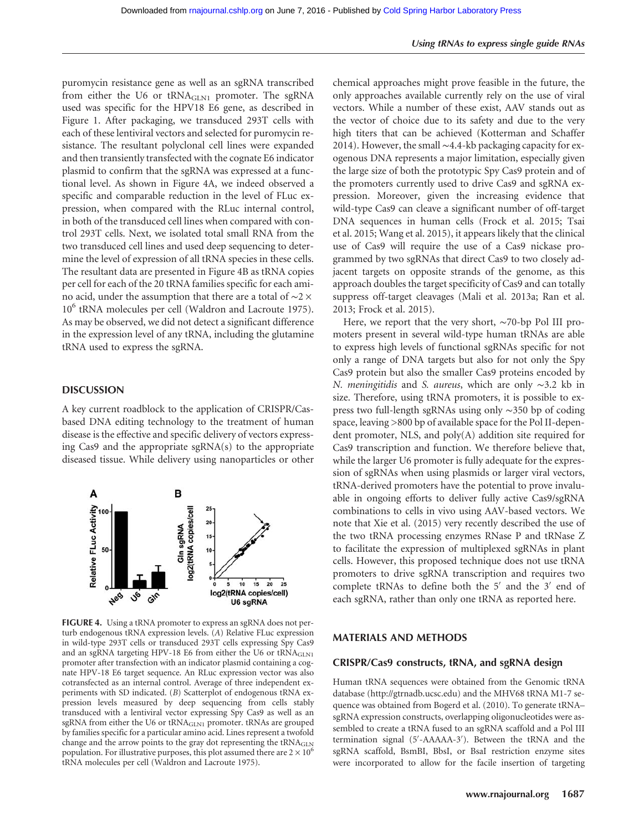puromycin resistance gene as well as an sgRNA transcribed from either the U6 or tRNA<sub>GLN1</sub> promoter. The sgRNA used was specific for the HPV18 E6 gene, as described in Figure 1. After packaging, we transduced 293T cells with each of these lentiviral vectors and selected for puromycin resistance. The resultant polyclonal cell lines were expanded and then transiently transfected with the cognate E6 indicator plasmid to confirm that the sgRNA was expressed at a functional level. As shown in Figure 4A, we indeed observed a specific and comparable reduction in the level of FLuc expression, when compared with the RLuc internal control, in both of the transduced cell lines when compared with control 293T cells. Next, we isolated total small RNA from the two transduced cell lines and used deep sequencing to determine the level of expression of all tRNA species in these cells. The resultant data are presented in Figure 4B as tRNA copies per cell for each of the 20 tRNA families specific for each amino acid, under the assumption that there are a total of ∼2 × 10<sup>6</sup> tRNA molecules per cell (Waldron and Lacroute 1975). As may be observed, we did not detect a significant difference in the expression level of any tRNA, including the glutamine tRNA used to express the sgRNA.

#### **DISCUSSION**

A key current roadblock to the application of CRISPR/Casbased DNA editing technology to the treatment of human disease is the effective and specific delivery of vectors expressing Cas9 and the appropriate sgRNA(s) to the appropriate diseased tissue. While delivery using nanoparticles or other



FIGURE 4. Using a tRNA promoter to express an sgRNA does not perturb endogenous tRNA expression levels. (A) Relative FLuc expression in wild-type 293T cells or transduced 293T cells expressing Spy Cas9 and an sgRNA targeting HPV-18 E6 from either the U6 or tRNA<sub>GLN1</sub> promoter after transfection with an indicator plasmid containing a cognate HPV-18 E6 target sequence. An RLuc expression vector was also cotransfected as an internal control. Average of three independent experiments with SD indicated. (B) Scatterplot of endogenous tRNA expression levels measured by deep sequencing from cells stably transduced with a lentiviral vector expressing Spy Cas9 as well as an sgRNA from either the U6 or tRNA<sub>GLN1</sub> promoter. tRNAs are grouped by families specific for a particular amino acid. Lines represent a twofold change and the arrow points to the gray dot representing the tRNA<sub>GLN</sub> population. For illustrative purposes, this plot assumed there are  $2 \times 10^6$ tRNA molecules per cell (Waldron and Lacroute 1975).

chemical approaches might prove feasible in the future, the only approaches available currently rely on the use of viral vectors. While a number of these exist, AAV stands out as the vector of choice due to its safety and due to the very high titers that can be achieved (Kotterman and Schaffer 2014). However, the small ∼4.4-kb packaging capacity for exogenous DNA represents a major limitation, especially given the large size of both the prototypic Spy Cas9 protein and of the promoters currently used to drive Cas9 and sgRNA expression. Moreover, given the increasing evidence that wild-type Cas9 can cleave a significant number of off-target DNA sequences in human cells (Frock et al. 2015; Tsai et al. 2015; Wang et al. 2015), it appears likely that the clinical use of Cas9 will require the use of a Cas9 nickase programmed by two sgRNAs that direct Cas9 to two closely adjacent targets on opposite strands of the genome, as this approach doubles the target specificity of Cas9 and can totally suppress off-target cleavages (Mali et al. 2013a; Ran et al. 2013; Frock et al. 2015).

Here, we report that the very short, ∼70-bp Pol III promoters present in several wild-type human tRNAs are able to express high levels of functional sgRNAs specific for not only a range of DNA targets but also for not only the Spy Cas9 protein but also the smaller Cas9 proteins encoded by N. meningitidis and S. aureus, which are only ∼3.2 kb in size. Therefore, using tRNA promoters, it is possible to express two full-length sgRNAs using only ∼350 bp of coding space, leaving >800 bp of available space for the Pol II-dependent promoter, NLS, and poly(A) addition site required for Cas9 transcription and function. We therefore believe that, while the larger U6 promoter is fully adequate for the expression of sgRNAs when using plasmids or larger viral vectors, tRNA-derived promoters have the potential to prove invaluable in ongoing efforts to deliver fully active Cas9/sgRNA combinations to cells in vivo using AAV-based vectors. We note that Xie et al. (2015) very recently described the use of the two tRNA processing enzymes RNase P and tRNase Z to facilitate the expression of multiplexed sgRNAs in plant cells. However, this proposed technique does not use tRNA promoters to drive sgRNA transcription and requires two complete tRNAs to define both the 5′ and the 3′ end of each sgRNA, rather than only one tRNA as reported here.

#### MATERIALS AND METHODS

#### CRISPR/Cas9 constructs, tRNA, and sgRNA design

Human tRNA sequences were obtained from the Genomic tRNA database ([http://gtrnadb.ucsc.edu\)](http://gtrnadb.ucsc.edu) and the MHV68 tRNA M1-7 sequence was obtained from Bogerd et al. (2010). To generate tRNA– sgRNA expression constructs, overlapping oligonucleotides were assembled to create a tRNA fused to an sgRNA scaffold and a Pol III termination signal (5′ -AAAAA-3′ ). Between the tRNA and the sgRNA scaffold, BsmBI, BbsI, or BsaI restriction enzyme sites were incorporated to allow for the facile insertion of targeting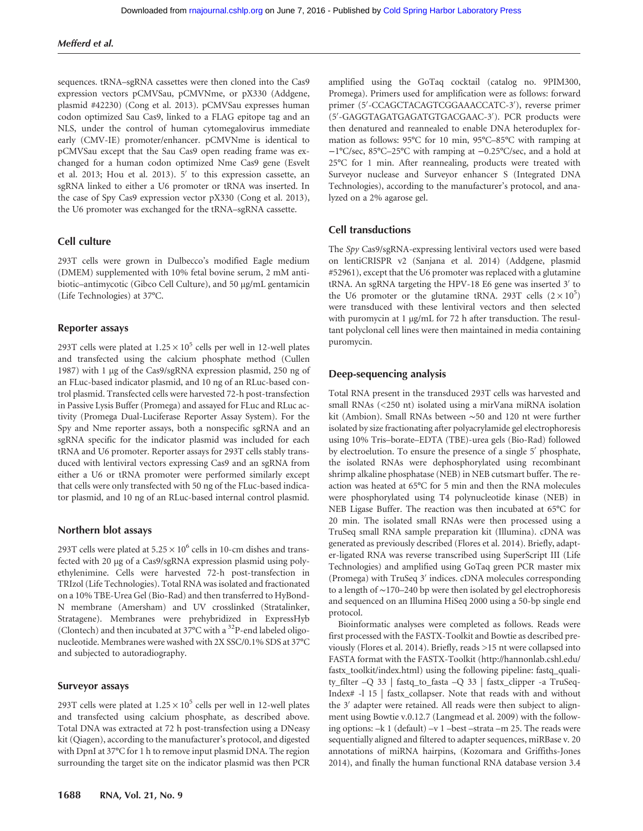sequences. tRNA–sgRNA cassettes were then cloned into the Cas9 expression vectors pCMVSau, pCMVNme, or pX330 (Addgene, plasmid #42230) (Cong et al. 2013). pCMVSau expresses human codon optimized Sau Cas9, linked to a FLAG epitope tag and an NLS, under the control of human cytomegalovirus immediate early (CMV-IE) promoter/enhancer. pCMVNme is identical to pCMVSau except that the Sau Cas9 open reading frame was exchanged for a human codon optimized Nme Cas9 gene (Esvelt et al. 2013; Hou et al. 2013). 5′ to this expression cassette, an sgRNA linked to either a U6 promoter or tRNA was inserted. In the case of Spy Cas9 expression vector pX330 (Cong et al. 2013), the U6 promoter was exchanged for the tRNA–sgRNA cassette.

## Cell culture

293T cells were grown in Dulbecco's modified Eagle medium (DMEM) supplemented with 10% fetal bovine serum, 2 mM antibiotic–antimycotic (Gibco Cell Culture), and 50 µg/mL gentamicin (Life Technologies) at 37°C.

#### Reporter assays

293T cells were plated at  $1.25 \times 10^5$  cells per well in 12-well plates and transfected using the calcium phosphate method (Cullen 1987) with 1 µg of the Cas9/sgRNA expression plasmid, 250 ng of an FLuc-based indicator plasmid, and 10 ng of an RLuc-based control plasmid. Transfected cells were harvested 72-h post-transfection in Passive Lysis Buffer (Promega) and assayed for FLuc and RLuc activity (Promega Dual-Luciferase Reporter Assay System). For the Spy and Nme reporter assays, both a nonspecific sgRNA and an sgRNA specific for the indicator plasmid was included for each tRNA and U6 promoter. Reporter assays for 293T cells stably transduced with lentiviral vectors expressing Cas9 and an sgRNA from either a U6 or tRNA promoter were performed similarly except that cells were only transfected with 50 ng of the FLuc-based indicator plasmid, and 10 ng of an RLuc-based internal control plasmid.

#### Northern blot assays

293T cells were plated at  $5.25 \times 10^6$  cells in 10-cm dishes and transfected with 20 µg of a Cas9/sgRNA expression plasmid using polyethylenimine. Cells were harvested 72-h post-transfection in TRIzol (Life Technologies). Total RNA was isolated and fractionated on a 10% TBE-Urea Gel (Bio-Rad) and then transferred to HyBond-N membrane (Amersham) and UV crosslinked (Stratalinker, Stratagene). Membranes were prehybridized in ExpressHyb (Clontech) and then incubated at  $37^{\circ}$ C with a  $32^{\circ}$ P-end labeled oligonucleotide. Membranes were washed with 2X SSC/0.1% SDS at 37°C and subjected to autoradiography.

#### Surveyor assays

293T cells were plated at  $1.25 \times 10^5$  cells per well in 12-well plates and transfected using calcium phosphate, as described above. Total DNA was extracted at 72 h post-transfection using a DNeasy kit (Qiagen), according to the manufacturer's protocol, and digested with DpnI at 37°C for 1 h to remove input plasmid DNA. The region surrounding the target site on the indicator plasmid was then PCR amplified using the GoTaq cocktail (catalog no. 9PIM300, Promega). Primers used for amplification were as follows: forward primer (5′ -CCAGCTACAGTCGGAAACCATC-3′ ), reverse primer (5′ -GAGGTAGATGAGATGTGACGAAC-3′ ). PCR products were then denatured and reannealed to enable DNA heteroduplex formation as follows: 95°C for 10 min, 95°C–85°C with ramping at −1°C/sec, 85°C–25°C with ramping at −0.25°C/sec, and a hold at 25°C for 1 min. After reannealing, products were treated with Surveyor nuclease and Surveyor enhancer S (Integrated DNA Technologies), according to the manufacturer's protocol, and analyzed on a 2% agarose gel.

### Cell transductions

The Spy Cas9/sgRNA-expressing lentiviral vectors used were based on lentiCRISPR v2 (Sanjana et al. 2014) (Addgene, plasmid #52961), except that the U6 promoter was replaced with a glutamine tRNA. An sgRNA targeting the HPV-18 E6 gene was inserted 3′ to the U6 promoter or the glutamine tRNA. 293T cells  $(2 \times 10^5)$ were transduced with these lentiviral vectors and then selected with puromycin at 1 µg/mL for 72 h after transduction. The resultant polyclonal cell lines were then maintained in media containing puromycin.

#### Deep-sequencing analysis

Total RNA present in the transduced 293T cells was harvested and small RNAs (<250 nt) isolated using a mirVana miRNA isolation kit (Ambion). Small RNAs between ∼50 and 120 nt were further isolated by size fractionating after polyacrylamide gel electrophoresis using 10% Tris–borate–EDTA (TBE)-urea gels (Bio-Rad) followed by electroelution. To ensure the presence of a single 5′ phosphate, the isolated RNAs were dephosphorylated using recombinant shrimp alkaline phosphatase (NEB) in NEB cutsmart buffer. The reaction was heated at 65°C for 5 min and then the RNA molecules were phosphorylated using T4 polynucleotide kinase (NEB) in NEB Ligase Buffer. The reaction was then incubated at 65°C for 20 min. The isolated small RNAs were then processed using a TruSeq small RNA sample preparation kit (Illumina). cDNA was generated as previously described (Flores et al. 2014). Briefly, adapter-ligated RNA was reverse transcribed using SuperScript III (Life Technologies) and amplified using GoTaq green PCR master mix (Promega) with TruSeq 3′ indices. cDNA molecules corresponding to a length of ∼170–240 bp were then isolated by gel electrophoresis and sequenced on an Illumina HiSeq 2000 using a 50-bp single end protocol.

Bioinformatic analyses were completed as follows. Reads were first processed with the FASTX-Toolkit and Bowtie as described previously (Flores et al. 2014). Briefly, reads >15 nt were collapsed into FASTA format with the FASTX-Toolkit [\(http://hannonlab.cshl.edu/](http://hannonlab.cshl.edu/fastx_toolkit/index.html) [fastx\\_toolkit/index.html](http://hannonlab.cshl.edu/fastx_toolkit/index.html)) using the following pipeline: fastq\_quality\_filter –Q 33 | fastq\_to\_fasta –Q 33 | fastx\_clipper -a TruSeq-Index# -l 15 | fastx\_collapser. Note that reads with and without the 3′ adapter were retained. All reads were then subject to alignment using Bowtie v.0.12.7 (Langmead et al. 2009) with the following options: –k 1 (default) –v 1 –best –strata –m 25. The reads were sequentially aligned and filtered to adapter sequences, miRBase v. 20 annotations of miRNA hairpins, (Kozomara and Griffiths-Jones 2014), and finally the human functional RNA database version 3.4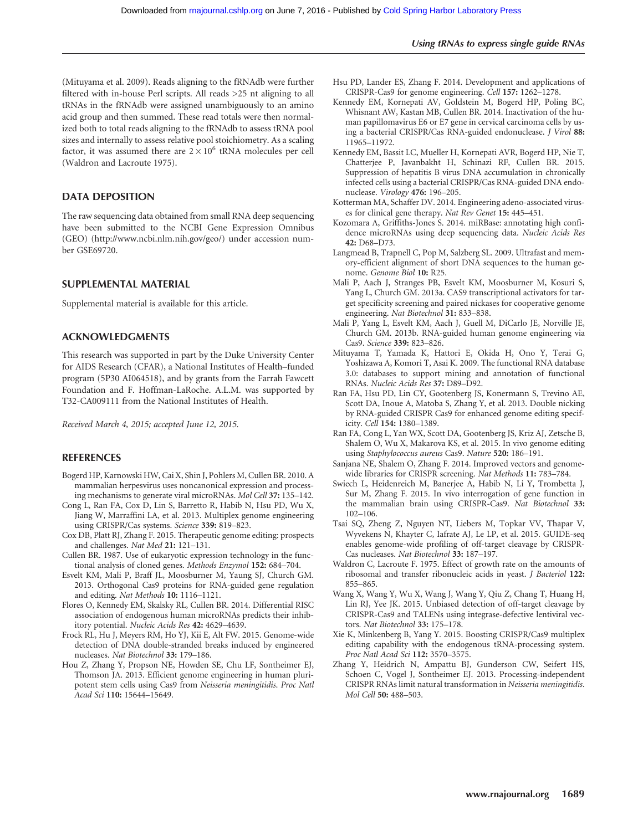(Mituyama et al. 2009). Reads aligning to the fRNAdb were further filtered with in-house Perl scripts. All reads >25 nt aligning to all tRNAs in the fRNAdb were assigned unambiguously to an amino acid group and then summed. These read totals were then normalized both to total reads aligning to the fRNAdb to assess tRNA pool sizes and internally to assess relative pool stoichiometry. As a scaling factor, it was assumed there are  $2 \times 10^6$  tRNA molecules per cell (Waldron and Lacroute 1975).

## DATA DEPOSITION

The raw sequencing data obtained from small RNA deep sequencing have been submitted to the NCBI Gene Expression Omnibus (GEO) [\(http://www.ncbi.nlm.nih.gov/geo/](http://www.ncbi.nlm.nih.gov/geo/)) under accession number GSE69720.

## SUPPLEMENTAL MATERIAL

Supplemental material is available for this article.

## ACKNOWLEDGMENTS

This research was supported in part by the Duke University Center for AIDS Research (CFAR), a National Institutes of Health–funded program (5P30 AI064518), and by grants from the Farrah Fawcett Foundation and F. Hoffman-LaRoche. A.L.M. was supported by T32-CA009111 from the National Institutes of Health.

Received March 4, 2015; accepted June 12, 2015.

#### **REFERENCES**

- Bogerd HP, Karnowski HW, Cai X, Shin J, Pohlers M, Cullen BR. 2010. A mammalian herpesvirus uses noncanonical expression and processing mechanisms to generate viral microRNAs. Mol Cell 37: 135–142.
- Cong L, Ran FA, Cox D, Lin S, Barretto R, Habib N, Hsu PD, Wu X, Jiang W, Marraffini LA, et al. 2013. Multiplex genome engineering using CRISPR/Cas systems. Science 339: 819-823.
- Cox DB, Platt RJ, Zhang F. 2015. Therapeutic genome editing: prospects and challenges. Nat Med 21: 121–131.
- Cullen BR. 1987. Use of eukaryotic expression technology in the functional analysis of cloned genes. Methods Enzymol 152: 684–704.
- Esvelt KM, Mali P, Braff JL, Moosburner M, Yaung SJ, Church GM. 2013. Orthogonal Cas9 proteins for RNA-guided gene regulation and editing. Nat Methods 10: 1116–1121.
- Flores O, Kennedy EM, Skalsky RL, Cullen BR. 2014. Differential RISC association of endogenous human microRNAs predicts their inhibitory potential. Nucleic Acids Res 42: 4629–4639.
- Frock RL, Hu J, Meyers RM, Ho YJ, Kii E, Alt FW. 2015. Genome-wide detection of DNA double-stranded breaks induced by engineered nucleases. Nat Biotechnol 33: 179–186.
- Hou Z, Zhang Y, Propson NE, Howden SE, Chu LF, Sontheimer EJ, Thomson JA. 2013. Efficient genome engineering in human pluripotent stem cells using Cas9 from Neisseria meningitidis. Proc Natl Acad Sci 110: 15644–15649.
- Hsu PD, Lander ES, Zhang F. 2014. Development and applications of CRISPR-Cas9 for genome engineering. Cell 157: 1262–1278.
- Kennedy EM, Kornepati AV, Goldstein M, Bogerd HP, Poling BC, Whisnant AW, Kastan MB, Cullen BR. 2014. Inactivation of the human papillomavirus E6 or E7 gene in cervical carcinoma cells by using a bacterial CRISPR/Cas RNA-guided endonuclease. J Virol 88: 11965–11972.
- Kennedy EM, Bassit LC, Mueller H, Kornepati AVR, Bogerd HP, Nie T, Chatterjee P, Javanbakht H, Schinazi RF, Cullen BR. 2015. Suppression of hepatitis B virus DNA accumulation in chronically infected cells using a bacterial CRISPR/Cas RNA-guided DNA endonuclease. Virology 476: 196–205.
- Kotterman MA, Schaffer DV. 2014. Engineering adeno-associated viruses for clinical gene therapy. Nat Rev Genet 15: 445–451.
- Kozomara A, Griffiths-Jones S. 2014. miRBase: annotating high confidence microRNAs using deep sequencing data. Nucleic Acids Res 42: D68–D73.
- Langmead B, Trapnell C, Pop M, Salzberg SL. 2009. Ultrafast and memory-efficient alignment of short DNA sequences to the human genome. Genome Biol 10: R25.
- Mali P, Aach J, Stranges PB, Esvelt KM, Moosburner M, Kosuri S, Yang L, Church GM. 2013a. CAS9 transcriptional activators for target specificity screening and paired nickases for cooperative genome engineering. Nat Biotechnol 31: 833–838.
- Mali P, Yang L, Esvelt KM, Aach J, Guell M, DiCarlo JE, Norville JE, Church GM. 2013b. RNA-guided human genome engineering via Cas9. Science 339: 823–826.
- Mituyama T, Yamada K, Hattori E, Okida H, Ono Y, Terai G, Yoshizawa A, Komori T, Asai K. 2009. The functional RNA database 3.0: databases to support mining and annotation of functional RNAs. Nucleic Acids Res 37: D89–D92.
- Ran FA, Hsu PD, Lin CY, Gootenberg JS, Konermann S, Trevino AE, Scott DA, Inoue A, Matoba S, Zhang Y, et al. 2013. Double nicking by RNA-guided CRISPR Cas9 for enhanced genome editing specificity. Cell 154: 1380–1389.
- Ran FA, Cong L, Yan WX, Scott DA, Gootenberg JS, Kriz AJ, Zetsche B, Shalem O, Wu X, Makarova KS, et al. 2015. In vivo genome editing using Staphylococcus aureus Cas9. Nature 520: 186–191.
- Sanjana NE, Shalem O, Zhang F. 2014. Improved vectors and genomewide libraries for CRISPR screening. Nat Methods 11: 783–784.
- Swiech L, Heidenreich M, Banerjee A, Habib N, Li Y, Trombetta J, Sur M, Zhang F. 2015. In vivo interrogation of gene function in the mammalian brain using CRISPR-Cas9. Nat Biotechnol 33: 102–106.
- Tsai SQ, Zheng Z, Nguyen NT, Liebers M, Topkar VV, Thapar V, Wyvekens N, Khayter C, Iafrate AJ, Le LP, et al. 2015. GUIDE-seq enables genome-wide profiling of off-target cleavage by CRISPR-Cas nucleases. Nat Biotechnol 33: 187–197.
- Waldron C, Lacroute F. 1975. Effect of growth rate on the amounts of ribosomal and transfer ribonucleic acids in yeast. J Bacteriol 122: 855–865.
- Wang X, Wang Y, Wu X, Wang J, Wang Y, Qiu Z, Chang T, Huang H, Lin RJ, Yee JK. 2015. Unbiased detection of off-target cleavage by CRISPR-Cas9 and TALENs using integrase-defective lentiviral vectors. Nat Biotechnol 33: 175–178.
- Xie K, Minkenberg B, Yang Y. 2015. Boosting CRISPR/Cas9 multiplex editing capability with the endogenous tRNA-processing system. Proc Natl Acad Sci 112: 3570–3575.
- Zhang Y, Heidrich N, Ampattu BJ, Gunderson CW, Seifert HS, Schoen C, Vogel J, Sontheimer EJ. 2013. Processing-independent CRISPR RNAs limit natural transformation in Neisseria meningitidis. Mol Cell 50: 488–503.